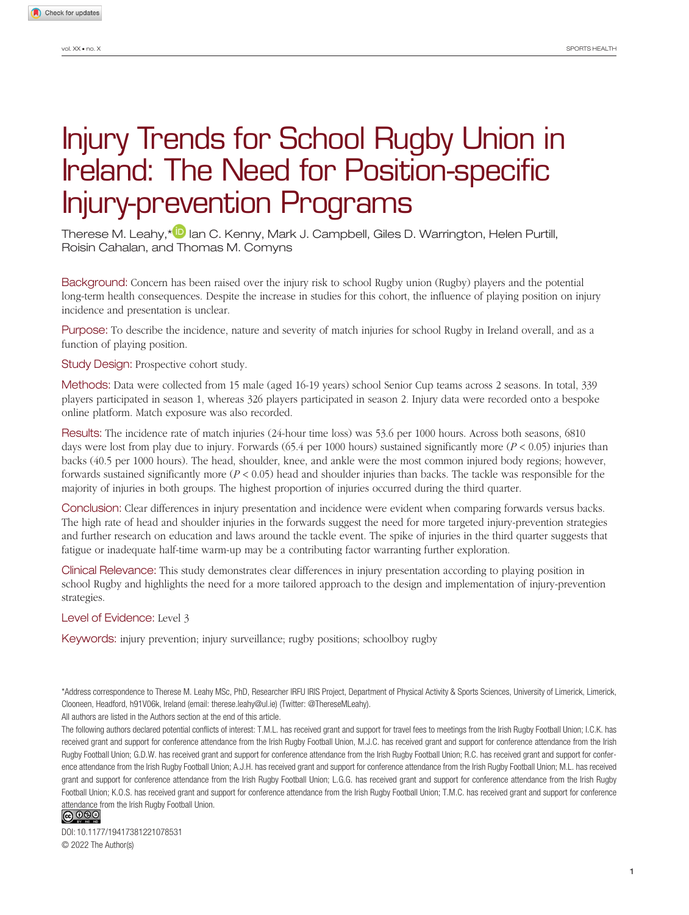# Injury Trends for School Rugby Union in Ireland: The Need for Position-specific Injury-prevention Programs

Therese M. Leahy,\*<sup>1</sup> lan C. Kenny, Mark J. Campbell, Giles D. Warrington, Helen Purtill, Roisin Cahalan, and Thomas M. Comyns

Background: Concern has been raised over the injury risk to school Rugby union (Rugby) players and the potential long-term health consequences. Despite the increase in studies for this cohort, the influence of playing position on injury incidence and presentation is unclear.

Purpose: To describe the incidence, nature and severity of match injuries for school Rugby in Ireland overall, and as a function of playing position.

Study Design: Prospective cohort study.

Methods: Data were collected from 15 male (aged 16-19 years) school Senior Cup teams across 2 seasons. In total, 339 players participated in season 1, whereas 326 players participated in season 2. Injury data were recorded onto a bespoke online platform. Match exposure was also recorded.

Results: The incidence rate of match injuries (24-hour time loss) was 53.6 per 1000 hours. Across both seasons, 6810 days were lost from play due to injury. Forwards (65.4 per 1000 hours) sustained significantly more (*P* < 0.05) injuries than backs (40.5 per 1000 hours). The head, shoulder, knee, and ankle were the most common injured body regions; however, forwards sustained significantly more (*P* < 0.05) head and shoulder injuries than backs. The tackle was responsible for the majority of injuries in both groups. The highest proportion of injuries occurred during the third quarter.

Conclusion: Clear differences in injury presentation and incidence were evident when comparing forwards versus backs. The high rate of head and shoulder injuries in the forwards suggest the need for more targeted injury-prevention strategies and further research on education and laws around the tackle event. The spike of injuries in the third quarter suggests that fatigue or inadequate half-time warm-up may be a contributing factor warranting further exploration.

Clinical Relevance: This study demonstrates clear differences in injury presentation according to playing position in school Rugby and highlights the need for a more tailored approach to the design and implementation of injury-prevention strategies.

Level of Evidence: Level 3

Keywords: injury prevention; injury surveillance; rugby positions; schoolboy rugby

\*Address correspondence to Therese M. Leahy MSc, PhD, Researcher IRFU IRIS Project, Department of Physical Activity & Sports Sciences, University of Limerick, Limerick, Clooneen, Headford, h91V06k, Ireland (email: [therese.leahy@ul.ie](mailto:therese.leahy@ul.ie)) (Twitter: @ThereseMLeahy).

All authors are listed in the Authors section at the end of this article.

The following authors declared potential conflicts of interest: T.M.L. has received grant and support for travel fees to meetings from the Irish Rugby Football Union; I.C.K. has received grant and support for conference attendance from the Irish Rugby Football Union, M.J.C. has received grant and support for conference attendance from the Irish Rugby Football Union; G.D.W. has received grant and support for conference attendance from the Irish Rugby Football Union; R.C. has received grant and support for conference attendance from the Irish Rugby Football Union; A.J.H. has received grant and support for conference attendance from the Irish Rugby Football Union; M.L. has received grant and support for conference attendance from the Irish Rugby Football Union; L.G.G. has received grant and support for conference attendance from the Irish Rugby Football Union; K.O.S. has received grant and support for conference attendance from the Irish Rugby Football Union; T.M.C. has received grant and support for conference attendance from the Irish Rugby Football Union.<br> **@ 0 0 0** 



DOI: 10.1177/19417381221078531 © 2022 The Author(s)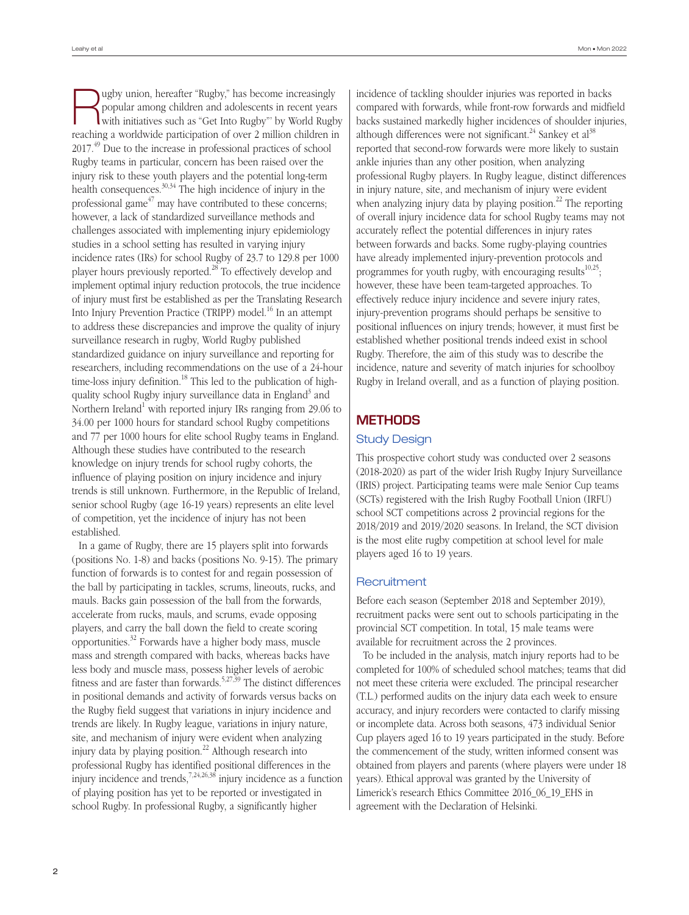Rugby union, hereafter "Rugby," has become increasingly with initiatives such as "Get Into Rugby"' by World Rugby popular among children and adolescents in recent years reaching a worldwide participation of over 2 million children in 2017<sup>49</sup> Due to the increase in professional practices of school Rugby teams in particular, concern has been raised over the injury risk to these youth players and the potential long-term health consequences.  $30,34$  The high incidence of injury in the professional game $47$  may have contributed to these concerns; however, a lack of standardized surveillance methods and challenges associated with implementing injury epidemiology studies in a school setting has resulted in varying injury incidence rates (IRs) for school Rugby of 23.7 to 129.8 per 1000 player hours previously reported.28 To effectively develop and implement optimal injury reduction protocols, the true incidence of injury must first be established as per the Translating Research Into Injury Prevention Practice (TRIPP) model.<sup>16</sup> In an attempt to address these discrepancies and improve the quality of injury surveillance research in rugby, World Rugby published standardized guidance on injury surveillance and reporting for researchers, including recommendations on the use of a 24-hour time-loss injury definition.<sup>18</sup> This led to the publication of highquality school Rugby injury surveillance data in England<sup>3</sup> and Northern Ireland<sup>1</sup> with reported injury IRs ranging from 29.06 to 34.00 per 1000 hours for standard school Rugby competitions and 77 per 1000 hours for elite school Rugby teams in England. Although these studies have contributed to the research knowledge on injury trends for school rugby cohorts, the influence of playing position on injury incidence and injury trends is still unknown. Furthermore, in the Republic of Ireland, senior school Rugby (age 16-19 years) represents an elite level of competition, yet the incidence of injury has not been established.

In a game of Rugby, there are 15 players split into forwards (positions No. 1-8) and backs (positions No. 9-15). The primary function of forwards is to contest for and regain possession of the ball by participating in tackles, scrums, lineouts, rucks, and mauls. Backs gain possession of the ball from the forwards, accelerate from rucks, mauls, and scrums, evade opposing players, and carry the ball down the field to create scoring opportunities. $32$  Forwards have a higher body mass, muscle mass and strength compared with backs, whereas backs have less body and muscle mass, possess higher levels of aerobic fitness and are faster than forwards.<sup>5,27,39</sup> The distinct differences in positional demands and activity of forwards versus backs on the Rugby field suggest that variations in injury incidence and trends are likely. In Rugby league, variations in injury nature, site, and mechanism of injury were evident when analyzing injury data by playing position.<sup>22</sup> Although research into professional Rugby has identified positional differences in the injury incidence and trends, $7,24,26,38$  injury incidence as a function of playing position has yet to be reported or investigated in school Rugby. In professional Rugby, a significantly higher

incidence of tackling shoulder injuries was reported in backs compared with forwards, while front-row forwards and midfield backs sustained markedly higher incidences of shoulder injuries, although differences were not significant.<sup>24</sup> Sankey et al<sup>38</sup> reported that second-row forwards were more likely to sustain ankle injuries than any other position, when analyzing professional Rugby players. In Rugby league, distinct differences in injury nature, site, and mechanism of injury were evident when analyzing injury data by playing position.<sup>22</sup> The reporting of overall injury incidence data for school Rugby teams may not accurately reflect the potential differences in injury rates between forwards and backs. Some rugby-playing countries have already implemented injury-prevention protocols and programmes for youth rugby, with encouraging results $10,25$ ; however, these have been team-targeted approaches. To effectively reduce injury incidence and severe injury rates, injury-prevention programs should perhaps be sensitive to positional influences on injury trends; however, it must first be established whether positional trends indeed exist in school Rugby. Therefore, the aim of this study was to describe the incidence, nature and severity of match injuries for schoolboy Rugby in Ireland overall, and as a function of playing position.

# **METHODS**

# Study Design

This prospective cohort study was conducted over 2 seasons (2018-2020) as part of the wider Irish Rugby Injury Surveillance (IRIS) project. Participating teams were male Senior Cup teams (SCTs) registered with the Irish Rugby Football Union (IRFU) school SCT competitions across 2 provincial regions for the 2018/2019 and 2019/2020 seasons. In Ireland, the SCT division is the most elite rugby competition at school level for male players aged 16 to 19 years.

# **Recruitment**

Before each season (September 2018 and September 2019), recruitment packs were sent out to schools participating in the provincial SCT competition. In total, 15 male teams were available for recruitment across the 2 provinces.

To be included in the analysis, match injury reports had to be completed for 100% of scheduled school matches; teams that did not meet these criteria were excluded. The principal researcher (T.L.) performed audits on the injury data each week to ensure accuracy, and injury recorders were contacted to clarify missing or incomplete data. Across both seasons, 473 individual Senior Cup players aged 16 to 19 years participated in the study. Before the commencement of the study, written informed consent was obtained from players and parents (where players were under 18 years). Ethical approval was granted by the University of Limerick's research Ethics Committee 2016\_06\_19\_EHS in agreement with the Declaration of Helsinki.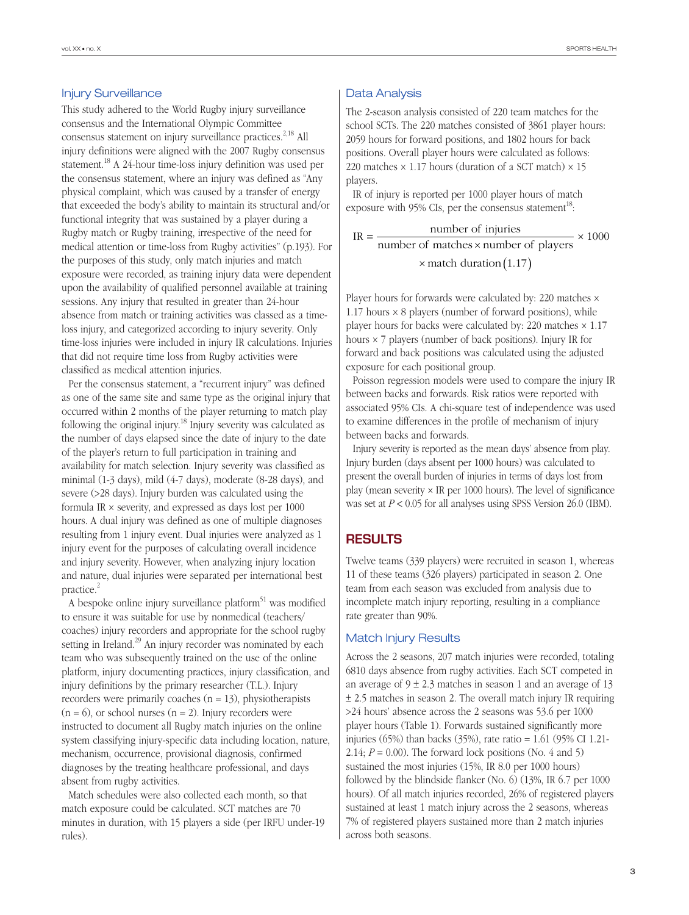## Injury Surveillance

This study adhered to the World Rugby injury surveillance consensus and the International Olympic Committee consensus statement on injury surveillance practices.<sup>2,18</sup> All injury definitions were aligned with the 2007 Rugby consensus statement.18 A 24-hour time-loss injury definition was used per the consensus statement, where an injury was defined as "Any physical complaint, which was caused by a transfer of energy that exceeded the body's ability to maintain its structural and/or functional integrity that was sustained by a player during a Rugby match or Rugby training, irrespective of the need for medical attention or time-loss from Rugby activities" (p.193). For the purposes of this study, only match injuries and match exposure were recorded, as training injury data were dependent upon the availability of qualified personnel available at training sessions. Any injury that resulted in greater than 24-hour absence from match or training activities was classed as a timeloss injury, and categorized according to injury severity. Only time-loss injuries were included in injury IR calculations. Injuries that did not require time loss from Rugby activities were classified as medical attention injuries.

Per the consensus statement, a "recurrent injury" was defined as one of the same site and same type as the original injury that occurred within 2 months of the player returning to match play following the original injury.18 Injury severity was calculated as the number of days elapsed since the date of injury to the date of the player's return to full participation in training and availability for match selection. Injury severity was classified as minimal (1-3 days), mild (4-7 days), moderate (8-28 days), and severe (>28 days). Injury burden was calculated using the formula IR × severity, and expressed as days lost per 1000 hours. A dual injury was defined as one of multiple diagnoses resulting from 1 injury event. Dual injuries were analyzed as 1 injury event for the purposes of calculating overall incidence and injury severity. However, when analyzing injury location and nature, dual injuries were separated per international best practice.<sup>2</sup>

A bespoke online injury surveillance platform<sup>51</sup> was modified to ensure it was suitable for use by nonmedical (teachers/ coaches) injury recorders and appropriate for the school rugby setting in Ireland.<sup>29</sup> An injury recorder was nominated by each team who was subsequently trained on the use of the online platform, injury documenting practices, injury classification, and injury definitions by the primary researcher (T.L.). Injury recorders were primarily coaches  $(n = 13)$ , physiotherapists  $(n = 6)$ , or school nurses  $(n = 2)$ . Injury recorders were instructed to document all Rugby match injuries on the online system classifying injury-specific data including location, nature, mechanism, occurrence, provisional diagnosis, confirmed diagnoses by the treating healthcare professional, and days absent from rugby activities.

Match schedules were also collected each month, so that match exposure could be calculated. SCT matches are 70 minutes in duration, with 15 players a side (per IRFU under-19 rules).

# Data Analysis

The 2-season analysis consisted of 220 team matches for the school SCTs. The 220 matches consisted of 3861 player hours: 2059 hours for forward positions, and 1802 hours for back positions. Overall player hours were calculated as follows: 220 matches  $\times$  1.17 hours (duration of a SCT match)  $\times$  15 players.

IR of injury is reported per 1000 player hours of match exposure with 95% CIs, per the consensus statement<sup>18</sup>:

 $IR =$  number of injuries number of matches × number of players  $\times$  match duration (1.17)  $\times$  1000

Player hours for forwards were calculated by: 220 matches × 1.17 hours  $\times$  8 players (number of forward positions), while player hours for backs were calculated by: 220 matches  $\times$  1.17 hours × 7 players (number of back positions). Injury IR for forward and back positions was calculated using the adjusted exposure for each positional group.

Poisson regression models were used to compare the injury IR between backs and forwards. Risk ratios were reported with associated 95% CIs. A chi-square test of independence was used to examine differences in the profile of mechanism of injury between backs and forwards.

Injury severity is reported as the mean days' absence from play. Injury burden (days absent per 1000 hours) was calculated to present the overall burden of injuries in terms of days lost from play (mean severity  $\times$  IR per 1000 hours). The level of significance was set at *P* < 0.05 for all analyses using SPSS Version 26.0 (IBM).

# **RESULTS**

Twelve teams (339 players) were recruited in season 1, whereas 11 of these teams (326 players) participated in season 2. One team from each season was excluded from analysis due to incomplete match injury reporting, resulting in a compliance rate greater than 90%.

# Match Injury Results

Across the 2 seasons, 207 match injuries were recorded, totaling 6810 days absence from rugby activities. Each SCT competed in an average of  $9 \pm 2.3$  matches in season 1 and an average of 13 ± 2.5 matches in season 2. The overall match injury IR requiring >24 hours' absence across the 2 seasons was 53.6 per 1000 player hours (Table 1). Forwards sustained significantly more injuries (65%) than backs (35%), rate ratio = 1.61 (95% CI 1.21- 2.14;  $P = 0.00$ ). The forward lock positions (No. 4 and 5) sustained the most injuries (15%, IR 8.0 per 1000 hours) followed by the blindside flanker (No. 6) (13%, IR 6.7 per 1000 hours). Of all match injuries recorded, 26% of registered players sustained at least 1 match injury across the 2 seasons, whereas 7% of registered players sustained more than 2 match injuries across both seasons.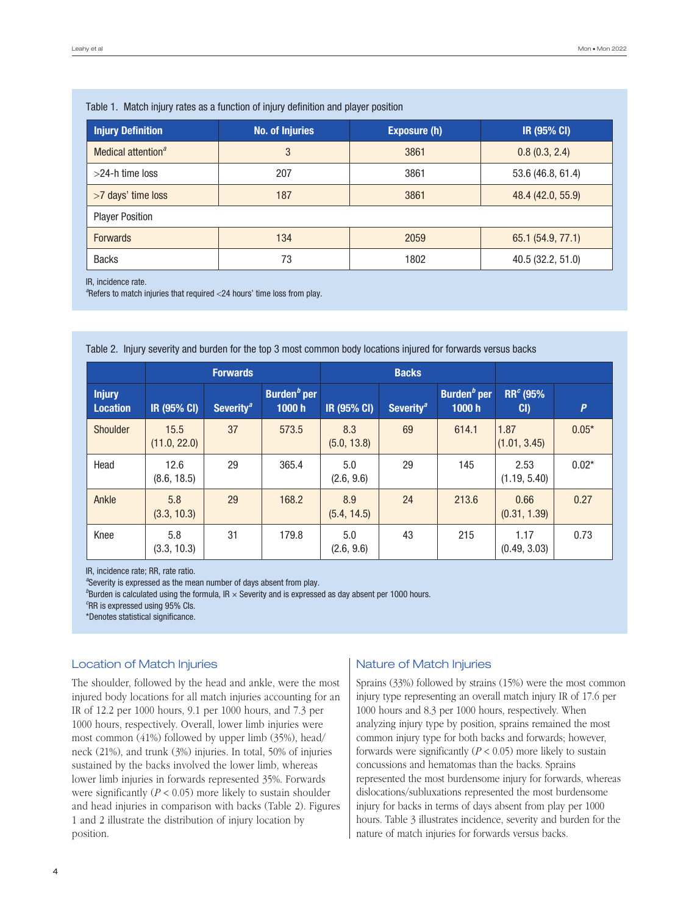| <u>Habit T. Maturi injury ratuo ao a fanotion of injury domintion and player pooltion</u> |                        |                     |                    |  |  |  |
|-------------------------------------------------------------------------------------------|------------------------|---------------------|--------------------|--|--|--|
| <b>Injury Definition</b>                                                                  | <b>No. of Injuries</b> | <b>Exposure (h)</b> | <b>IR (95% CI)</b> |  |  |  |
| Medical attention <sup>a</sup>                                                            | 3                      | 3861                | 0.8(0.3, 2.4)      |  |  |  |
| $>$ 24-h time loss                                                                        | 207                    | 3861                | 53.6 (46.8, 61.4)  |  |  |  |
| >7 days' time loss                                                                        | 187                    | 3861                | 48.4 (42.0, 55.9)  |  |  |  |
| <b>Player Position</b>                                                                    |                        |                     |                    |  |  |  |
| <b>Forwards</b>                                                                           | 134                    | 2059                | 65.1 (54.9, 77.1)  |  |  |  |
| <b>Backs</b>                                                                              | 73                     | 1802                | 40.5 (32.2, 51.0)  |  |  |  |

# Table 1. Match injury rates as a function of injury definition and player position

IR, incidence rate.

<sup>a</sup>Refers to match injuries that required <24 hours' time loss from play.

Table 2. Injury severity and burden for the top 3 most common body locations injured for forwards versus backs

|                                  |                      | <b>Forwards</b>                    |                         |                    | <b>Backs</b>                       |                         |                             |                  |  |
|----------------------------------|----------------------|------------------------------------|-------------------------|--------------------|------------------------------------|-------------------------|-----------------------------|------------------|--|
| <b>Injury</b><br><b>Location</b> | IR (95% CI)          | Severity <sup><math>a</math></sup> | Burden $b$ per<br>1000h | IR (95% CI)        | Severity <sup><math>a</math></sup> | Burden $b$ per<br>1000h | RR <sup>c</sup> (95%<br>CI) | $\boldsymbol{P}$ |  |
| Shoulder                         | 15.5<br>(11.0, 22.0) | 37                                 | 573.5                   | 8.3<br>(5.0, 13.8) | 69                                 | 614.1                   | 1.87<br>(1.01, 3.45)        | $0.05*$          |  |
| Head                             | 12.6<br>(8.6, 18.5)  | 29                                 | 365.4                   | 5.0<br>(2.6, 9.6)  | 29                                 | 145                     | 2.53<br>(1.19, 5.40)        | $0.02*$          |  |
| Ankle                            | 5.8<br>(3.3, 10.3)   | 29                                 | 168.2                   | 8.9<br>(5.4, 14.5) | 24                                 | 213.6                   | 0.66<br>(0.31, 1.39)        | 0.27             |  |
| Knee                             | 5.8<br>(3.3, 10.3)   | 31                                 | 179.8                   | 5.0<br>(2.6, 9.6)  | 43                                 | 215                     | 1.17<br>(0.49, 3.03)        | 0.73             |  |

IR, incidence rate; RR, rate ratio.

*a* Severity is expressed as the mean number of days absent from play.

*b* Burden is calculated using the formula, IR × Severity and is expressed as day absent per 1000 hours.

*c* RR is expressed using 95% CIs.

\*Denotes statistical significance.

# Location of Match Injuries

The shoulder, followed by the head and ankle, were the most injured body locations for all match injuries accounting for an IR of 12.2 per 1000 hours, 9.1 per 1000 hours, and 7.3 per 1000 hours, respectively. Overall, lower limb injuries were most common (41%) followed by upper limb (35%), head/ neck (21%), and trunk (3%) injuries. In total, 50% of injuries sustained by the backs involved the lower limb, whereas lower limb injuries in forwards represented 35%. Forwards were significantly  $(P < 0.05)$  more likely to sustain shoulder and head injuries in comparison with backs (Table 2). Figures 1 and 2 illustrate the distribution of injury location by position.

## Nature of Match Injuries

Sprains (33%) followed by strains (15%) were the most common injury type representing an overall match injury IR of 17.6 per 1000 hours and 8.3 per 1000 hours, respectively. When analyzing injury type by position, sprains remained the most common injury type for both backs and forwards; however, forwards were significantly  $(P < 0.05)$  more likely to sustain concussions and hematomas than the backs. Sprains represented the most burdensome injury for forwards, whereas dislocations/subluxations represented the most burdensome injury for backs in terms of days absent from play per 1000 hours. Table 3 illustrates incidence, severity and burden for the nature of match injuries for forwards versus backs.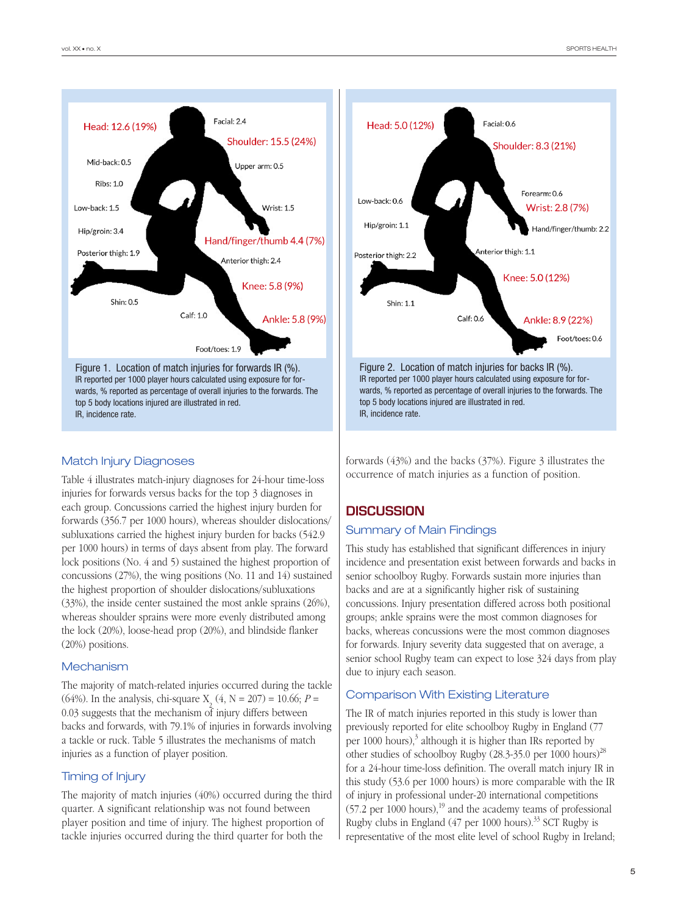

# Match Injury Diagnoses

Table 4 illustrates match-injury diagnoses for 24-hour time-loss injuries for forwards versus backs for the top 3 diagnoses in each group. Concussions carried the highest injury burden for forwards (356.7 per 1000 hours), whereas shoulder dislocations/ subluxations carried the highest injury burden for backs (542.9 per 1000 hours) in terms of days absent from play. The forward lock positions (No. 4 and 5) sustained the highest proportion of concussions (27%), the wing positions (No. 11 and 14) sustained the highest proportion of shoulder dislocations/subluxations (33%), the inside center sustained the most ankle sprains (26%), whereas shoulder sprains were more evenly distributed among the lock (20%), loose-head prop (20%), and blindside flanker (20%) positions.

#### **Mechanism**

The majority of match-related injuries occurred during the tackle (64%). In the analysis, chi-square  $X_2(4, N = 207) = 10.66; P =$ 0.03 suggests that the mechanism of injury differs between backs and forwards, with 79.1% of injuries in forwards involving a tackle or ruck. Table 5 illustrates the mechanisms of match injuries as a function of player position.

## Timing of Injury

The majority of match injuries (40%) occurred during the third quarter. A significant relationship was not found between player position and time of injury. The highest proportion of tackle injuries occurred during the third quarter for both the



forwards (43%) and the backs (37%). Figure 3 illustrates the occurrence of match injuries as a function of position.

# **DISCUSSION**

#### Summary of Main Findings

This study has established that significant differences in injury incidence and presentation exist between forwards and backs in senior schoolboy Rugby. Forwards sustain more injuries than backs and are at a significantly higher risk of sustaining concussions. Injury presentation differed across both positional groups; ankle sprains were the most common diagnoses for backs, whereas concussions were the most common diagnoses for forwards. Injury severity data suggested that on average, a senior school Rugby team can expect to lose 324 days from play due to injury each season.

## Comparison With Existing Literature

The IR of match injuries reported in this study is lower than previously reported for elite schoolboy Rugby in England (77 per 1000 hours), $3$  although it is higher than IRs reported by other studies of schoolboy Rugby (28.3-35.0 per 1000 hours)<sup>28</sup> for a 24-hour time-loss definition. The overall match injury IR in this study (53.6 per 1000 hours) is more comparable with the IR of injury in professional under-20 international competitions  $(57.2 \text{ per } 1000 \text{ hours})$ ,<sup>19</sup> and the academy teams of professional Rugby clubs in England  $(47 \text{ per } 1000 \text{ hours})$ .<sup>33</sup> SCT Rugby is representative of the most elite level of school Rugby in Ireland;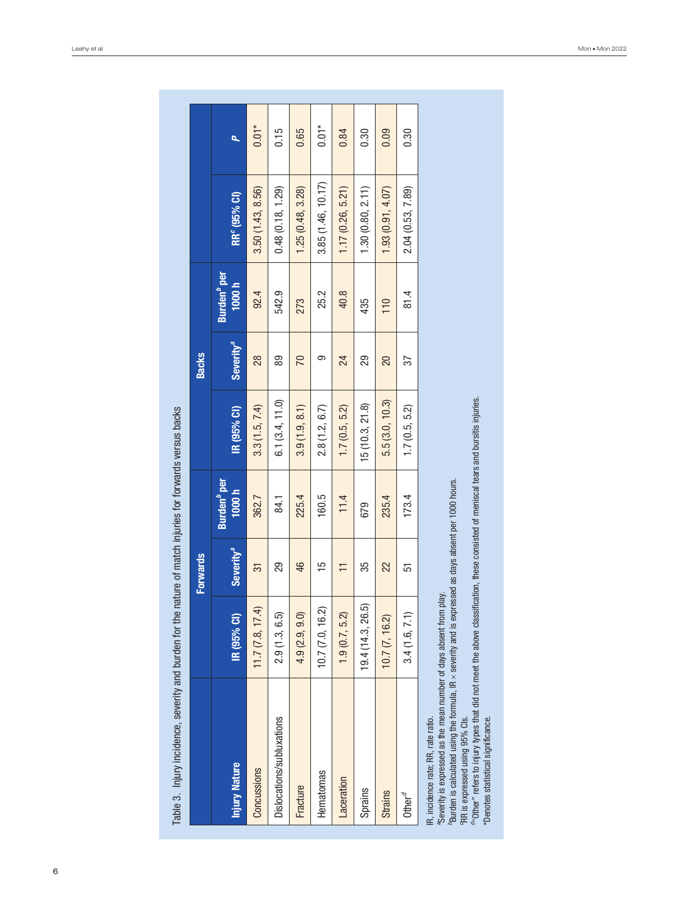|                                                                                                                                                                                                                                                                                                                                                                                                      |                   | <b>Forwards</b>       |                                         |                 | <b>Backs</b>          |                                         |                          |         |
|------------------------------------------------------------------------------------------------------------------------------------------------------------------------------------------------------------------------------------------------------------------------------------------------------------------------------------------------------------------------------------------------------|-------------------|-----------------------|-----------------------------------------|-----------------|-----------------------|-----------------------------------------|--------------------------|---------|
| <b>Injury Nature</b>                                                                                                                                                                                                                                                                                                                                                                                 | IR (95% CI)       | Severity <sup>a</sup> | Burden <sup><i>p</i></sup> per<br>1000h | IR (95% CI)     | Severity <sup>a</sup> | Burden <sup><i>b</i></sup> per<br>1000h | RR <sup>c</sup> (95% CI) |         |
| Concussions                                                                                                                                                                                                                                                                                                                                                                                          | 11.7(7.8, 17.4)   | 51                    | 362.7                                   | 3.3(1.5, 7.4)   | 28                    | 92.4                                    | 3.50(1.43, 8.56)         | $0.01*$ |
| Dislocations/subluxations                                                                                                                                                                                                                                                                                                                                                                            | 2.9(1.3, 6.5)     | 29                    | 84.1                                    | 6.1(3.4, 11.0)  | 89                    | 542.9                                   | 0.48(0.18, 1.29)         | 0.15    |
| Fracture                                                                                                                                                                                                                                                                                                                                                                                             | 4.9(2.9, 9.0)     | 46                    | 225.4                                   | 3.9(1.9, 8.1)   | $\overline{C}$        | 273                                     | 1.25(0.48, 3.28)         | 0.65    |
| Hematomas                                                                                                                                                                                                                                                                                                                                                                                            | 10.7 (7.0, 16.2)  | 15                    | 160.5                                   | 2.8(1.2, 6.7)   | တ                     | 25.2                                    | 3.85 (1.46, 10.17)       | $0.01*$ |
| Laceration                                                                                                                                                                                                                                                                                                                                                                                           | 1.9(0.7, 5.2)     |                       | 11.4                                    | 1.7(0.5, 5.2)   | 24                    | 40.8                                    | 1.17(0.26, 5.21)         | 0.84    |
| Sprains                                                                                                                                                                                                                                                                                                                                                                                              | 19.4 (14.3, 26.5) | 35                    | 679                                     | 15 (10.3, 21.8) | 29                    | 435                                     | 1.30(0.80, 2.11)         | 0.30    |
| <b>Strains</b>                                                                                                                                                                                                                                                                                                                                                                                       | 10.7 (7, 16.2)    | 22                    | 235.4                                   | 5.5(3.0, 10.3)  | 20                    | 110                                     | 1.93(0.91, 4.07)         | 0.09    |
| Other $^d$                                                                                                                                                                                                                                                                                                                                                                                           | 3.4(1.6, 7.1)     | 51                    | 173.4                                   | 1.7(0.5, 5.2)   | 57                    | 81.4                                    | 2.04 (0.53, 7.89)        | 0.30    |
| "Other" refers to injury types that did not meet the above classification, these consisted of meniscal tears and bursitis injuries.<br>Burden is calculated using the formula, IR $\times$ severity and is expressed as days absent per 1000 hours.<br>"Severity is expressed as the mean number of days absent from play.<br>IR, incidence rate; RR, rate ratio.<br>"RR is expressed using 95% Cls. |                   |                       |                                         |                 |                       |                                         |                          |         |

"Denotes statistical significance.

\*Denotes statistical significance.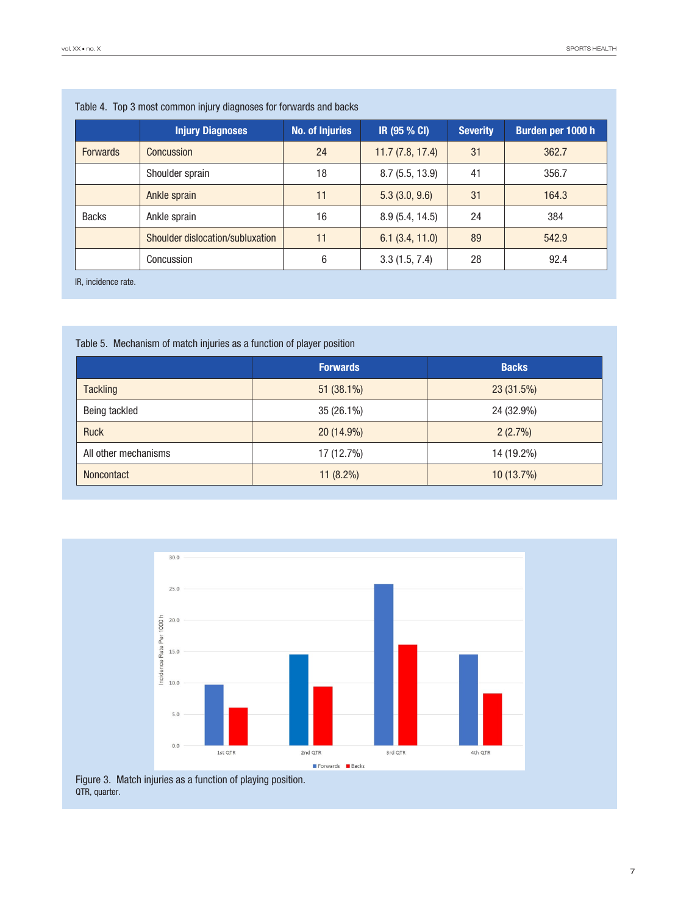| <u>Fabiu +. Tup o muut uummun mjury ulaghuuuu lui iurivaruu aha bautu</u> |                        |                 |                 |                   |  |
|---------------------------------------------------------------------------|------------------------|-----------------|-----------------|-------------------|--|
| <b>Injury Diagnoses</b>                                                   | <b>No. of Injuries</b> | IR (95 % CI)    | <b>Severity</b> | Burden per 1000 h |  |
| <b>Concussion</b>                                                         | 24                     | 11.7(7.8, 17.4) | 31              | 362.7             |  |
| Shoulder sprain                                                           | 18                     | 8.7(5.5, 13.9)  | 41              | 356.7             |  |
| Ankle sprain                                                              | 11                     | 5.3(3.0, 9.6)   | 31              | 164.3             |  |
| Ankle sprain                                                              | 16                     | 8.9(5.4, 14.5)  | 24              | 384               |  |
| Shoulder dislocation/subluxation                                          | 11                     | 6.1(3.4, 11.0)  | 89              | 542.9             |  |
| Concussion                                                                | 6                      | 3.3(1.5, 7.4)   | 28              | 92.4              |  |
|                                                                           |                        |                 |                 |                   |  |

# Table 4. Top 3 most common injury diagnoses for forwards and backs

IR, incidence rate.

# Table 5. Mechanism of match injuries as a function of player position

|                      | <b>Forwards</b> | <b>Backs</b> |
|----------------------|-----------------|--------------|
| <b>Tackling</b>      | 51 (38.1%)      | 23 (31.5%)   |
| Being tackled        | 35 (26.1%)      | 24 (32.9%)   |
| <b>Ruck</b>          | 20 (14.9%)      | 2(2.7%)      |
| All other mechanisms | 17 (12.7%)      | 14 (19.2%)   |
| <b>Noncontact</b>    | $11(8.2\%)$     | 10(13.7%)    |



Figure 3. Match injuries as a function of playing position. QTR, quarter.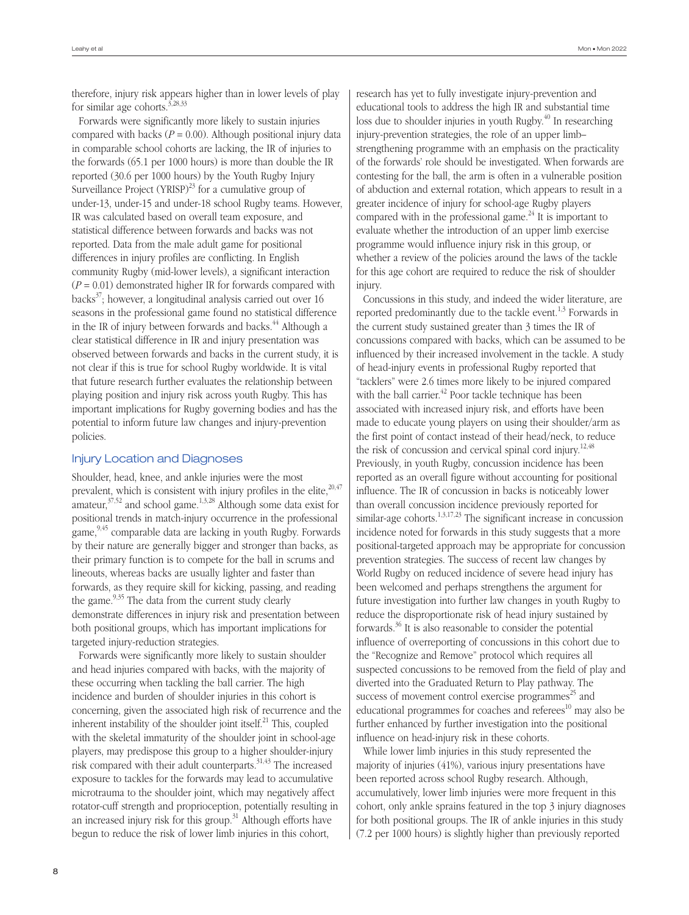therefore, injury risk appears higher than in lower levels of play for similar age cohorts.<sup>3,28,33</sup>

Forwards were significantly more likely to sustain injuries compared with backs ( $P = 0.00$ ). Although positional injury data in comparable school cohorts are lacking, the IR of injuries to the forwards (65.1 per 1000 hours) is more than double the IR reported (30.6 per 1000 hours) by the Youth Rugby Injury Surveillance Project  $(YRISP)^{23}$  for a cumulative group of under-13, under-15 and under-18 school Rugby teams. However, IR was calculated based on overall team exposure, and statistical difference between forwards and backs was not reported. Data from the male adult game for positional differences in injury profiles are conflicting. In English community Rugby (mid-lower levels), a significant interaction (*P* = 0.01) demonstrated higher IR for forwards compared with backs $37$ ; however, a longitudinal analysis carried out over 16 seasons in the professional game found no statistical difference in the IR of injury between forwards and backs. $^{44}$  Although a clear statistical difference in IR and injury presentation was observed between forwards and backs in the current study, it is not clear if this is true for school Rugby worldwide. It is vital that future research further evaluates the relationship between playing position and injury risk across youth Rugby. This has important implications for Rugby governing bodies and has the potential to inform future law changes and injury-prevention policies.

## Injury Location and Diagnoses

Shoulder, head, knee, and ankle injuries were the most prevalent, which is consistent with injury profiles in the elite. $20,47$ amateur, $37,52$  and school game.<sup>1,3,28</sup> Although some data exist for positional trends in match-injury occurrence in the professional game,<sup>9,45</sup> comparable data are lacking in youth Rugby. Forwards by their nature are generally bigger and stronger than backs, as their primary function is to compete for the ball in scrums and lineouts, whereas backs are usually lighter and faster than forwards, as they require skill for kicking, passing, and reading the game.<sup>9,35</sup> The data from the current study clearly demonstrate differences in injury risk and presentation between both positional groups, which has important implications for targeted injury-reduction strategies.

Forwards were significantly more likely to sustain shoulder and head injuries compared with backs, with the majority of these occurring when tackling the ball carrier. The high incidence and burden of shoulder injuries in this cohort is concerning, given the associated high risk of recurrence and the inherent instability of the shoulder joint itself. $^{21}$  This, coupled with the skeletal immaturity of the shoulder joint in school-age players, may predispose this group to a higher shoulder-injury risk compared with their adult counterparts.31,43 The increased exposure to tackles for the forwards may lead to accumulative microtrauma to the shoulder joint, which may negatively affect rotator-cuff strength and proprioception, potentially resulting in an increased injury risk for this group.<sup>31</sup> Although efforts have begun to reduce the risk of lower limb injuries in this cohort,

research has yet to fully investigate injury-prevention and educational tools to address the high IR and substantial time loss due to shoulder injuries in youth Rugby. $^{40}$  In researching injury-prevention strategies, the role of an upper limb– strengthening programme with an emphasis on the practicality of the forwards' role should be investigated. When forwards are contesting for the ball, the arm is often in a vulnerable position of abduction and external rotation, which appears to result in a greater incidence of injury for school-age Rugby players compared with in the professional game.<sup>24</sup> It is important to evaluate whether the introduction of an upper limb exercise programme would influence injury risk in this group, or whether a review of the policies around the laws of the tackle for this age cohort are required to reduce the risk of shoulder injury.

Concussions in this study, and indeed the wider literature, are reported predominantly due to the tackle event. $1,3$  Forwards in the current study sustained greater than 3 times the IR of concussions compared with backs, which can be assumed to be influenced by their increased involvement in the tackle. A study of head-injury events in professional Rugby reported that "tacklers" were 2.6 times more likely to be injured compared with the ball carrier.<sup>42</sup> Poor tackle technique has been associated with increased injury risk, and efforts have been made to educate young players on using their shoulder/arm as the first point of contact instead of their head/neck, to reduce the risk of concussion and cervical spinal cord injury.<sup>12,48</sup> Previously, in youth Rugby, concussion incidence has been reported as an overall figure without accounting for positional influence. The IR of concussion in backs is noticeably lower than overall concussion incidence previously reported for similar-age cohorts.<sup>1,3,17,23</sup> The significant increase in concussion incidence noted for forwards in this study suggests that a more positional-targeted approach may be appropriate for concussion prevention strategies. The success of recent law changes by World Rugby on reduced incidence of severe head injury has been welcomed and perhaps strengthens the argument for future investigation into further law changes in youth Rugby to reduce the disproportionate risk of head injury sustained by forwards. $36$  It is also reasonable to consider the potential influence of overreporting of concussions in this cohort due to the "Recognize and Remove" protocol which requires all suspected concussions to be removed from the field of play and diverted into the Graduated Return to Play pathway. The success of movement control exercise programmes $^{25}$  and educational programmes for coaches and referees $^{10}$  may also be further enhanced by further investigation into the positional influence on head-injury risk in these cohorts.

While lower limb injuries in this study represented the majority of injuries (41%), various injury presentations have been reported across school Rugby research. Although, accumulatively, lower limb injuries were more frequent in this cohort, only ankle sprains featured in the top 3 injury diagnoses for both positional groups. The IR of ankle injuries in this study (7.2 per 1000 hours) is slightly higher than previously reported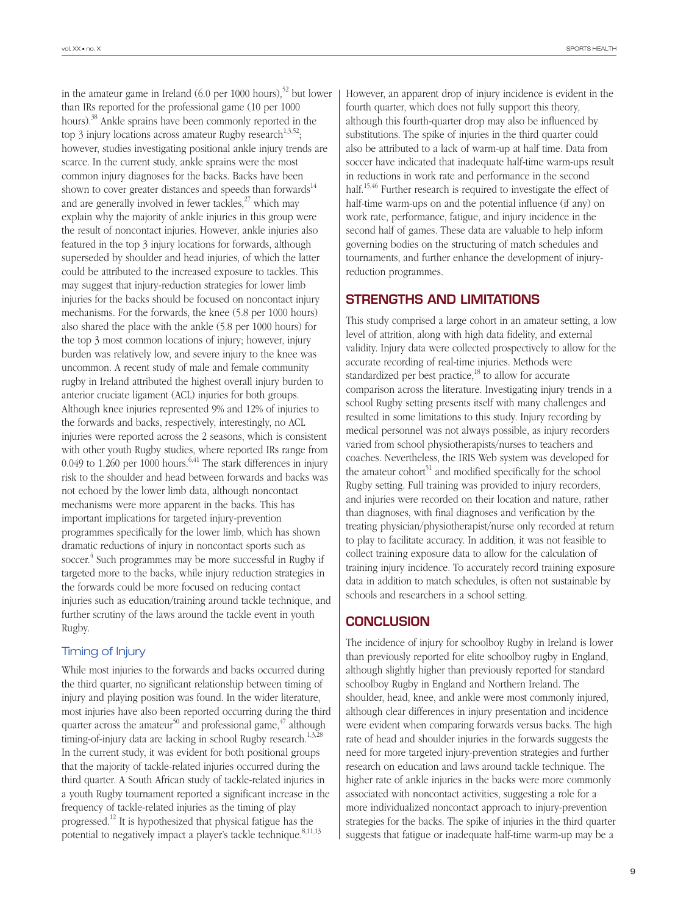in the amateur game in Ireland (6.0 per 1000 hours),<sup>52</sup> but lower than IRs reported for the professional game (10 per 1000 hours).<sup>38</sup> Ankle sprains have been commonly reported in the top 3 injury locations across amateur Rugby research<sup>1,3,52</sup>; however, studies investigating positional ankle injury trends are scarce. In the current study, ankle sprains were the most common injury diagnoses for the backs. Backs have been shown to cover greater distances and speeds than forwards<sup>14</sup> and are generally involved in fewer tackles, $27$  which may explain why the majority of ankle injuries in this group were the result of noncontact injuries. However, ankle injuries also featured in the top 3 injury locations for forwards, although superseded by shoulder and head injuries, of which the latter could be attributed to the increased exposure to tackles. This may suggest that injury-reduction strategies for lower limb injuries for the backs should be focused on noncontact injury mechanisms. For the forwards, the knee (5.8 per 1000 hours) also shared the place with the ankle (5.8 per 1000 hours) for the top 3 most common locations of injury; however, injury burden was relatively low, and severe injury to the knee was uncommon. A recent study of male and female community rugby in Ireland attributed the highest overall injury burden to anterior cruciate ligament (ACL) injuries for both groups. Although knee injuries represented 9% and 12% of injuries to the forwards and backs, respectively, interestingly, no ACL injuries were reported across the 2 seasons, which is consistent with other youth Rugby studies, where reported IRs range from 0.049 to 1.260 per 1000 hours.<sup>6,41</sup> The stark differences in injury risk to the shoulder and head between forwards and backs was not echoed by the lower limb data, although noncontact mechanisms were more apparent in the backs. This has important implications for targeted injury-prevention programmes specifically for the lower limb, which has shown dramatic reductions of injury in noncontact sports such as soccer.<sup>4</sup> Such programmes may be more successful in Rugby if targeted more to the backs, while injury reduction strategies in the forwards could be more focused on reducing contact injuries such as education/training around tackle technique, and further scrutiny of the laws around the tackle event in youth Rugby.

## Timing of Injury

While most injuries to the forwards and backs occurred during the third quarter, no significant relationship between timing of injury and playing position was found. In the wider literature, most injuries have also been reported occurring during the third quarter across the amateur<sup>50</sup> and professional game,  $47$  although timing-of-injury data are lacking in school Rugby research.<sup>1,3,28</sup> In the current study, it was evident for both positional groups that the majority of tackle-related injuries occurred during the third quarter. A South African study of tackle-related injuries in a youth Rugby tournament reported a significant increase in the frequency of tackle-related injuries as the timing of play progressed.12 It is hypothesized that physical fatigue has the potential to negatively impact a player's tackle technique.<sup>8,11,13</sup>

However, an apparent drop of injury incidence is evident in the fourth quarter, which does not fully support this theory, although this fourth-quarter drop may also be influenced by substitutions. The spike of injuries in the third quarter could also be attributed to a lack of warm-up at half time. Data from soccer have indicated that inadequate half-time warm-ups result in reductions in work rate and performance in the second half.<sup>15,46</sup> Further research is required to investigate the effect of half-time warm-ups on and the potential influence (if any) on work rate, performance, fatigue, and injury incidence in the second half of games. These data are valuable to help inform governing bodies on the structuring of match schedules and tournaments, and further enhance the development of injuryreduction programmes.

# Strengths and Limitations

This study comprised a large cohort in an amateur setting, a low level of attrition, along with high data fidelity, and external validity. Injury data were collected prospectively to allow for the accurate recording of real-time injuries. Methods were standardized per best practice, $^{18}$  to allow for accurate comparison across the literature. Investigating injury trends in a school Rugby setting presents itself with many challenges and resulted in some limitations to this study. Injury recording by medical personnel was not always possible, as injury recorders varied from school physiotherapists/nurses to teachers and coaches. Nevertheless, the IRIS Web system was developed for the amateur cohort<sup>51</sup> and modified specifically for the school Rugby setting. Full training was provided to injury recorders, and injuries were recorded on their location and nature, rather than diagnoses, with final diagnoses and verification by the treating physician/physiotherapist/nurse only recorded at return to play to facilitate accuracy. In addition, it was not feasible to collect training exposure data to allow for the calculation of training injury incidence. To accurately record training exposure data in addition to match schedules, is often not sustainable by schools and researchers in a school setting.

# **CONCLUSION**

The incidence of injury for schoolboy Rugby in Ireland is lower than previously reported for elite schoolboy rugby in England, although slightly higher than previously reported for standard schoolboy Rugby in England and Northern Ireland. The shoulder, head, knee, and ankle were most commonly injured, although clear differences in injury presentation and incidence were evident when comparing forwards versus backs. The high rate of head and shoulder injuries in the forwards suggests the need for more targeted injury-prevention strategies and further research on education and laws around tackle technique. The higher rate of ankle injuries in the backs were more commonly associated with noncontact activities, suggesting a role for a more individualized noncontact approach to injury-prevention strategies for the backs. The spike of injuries in the third quarter suggests that fatigue or inadequate half-time warm-up may be a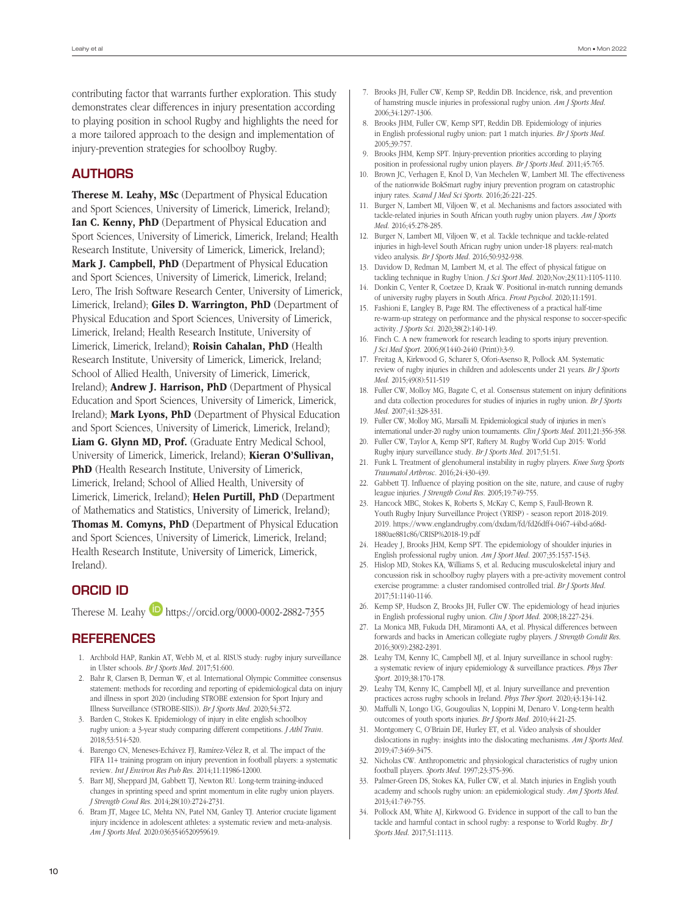contributing factor that warrants further exploration. This study demonstrates clear differences in injury presentation according to playing position in school Rugby and highlights the need for a more tailored approach to the design and implementation of injury-prevention strategies for schoolboy Rugby.

# **AUTHORS**

Therese M. Leahy, MSc (Department of Physical Education and Sport Sciences, University of Limerick, Limerick, Ireland); Ian C. Kenny, PhD (Department of Physical Education and Sport Sciences, University of Limerick, Limerick, Ireland; Health Research Institute, University of Limerick, Limerick, Ireland); Mark J. Campbell, PhD (Department of Physical Education and Sport Sciences, University of Limerick, Limerick, Ireland; Lero, The Irish Software Research Center, University of Limerick, Limerick, Ireland); Giles D. Warrington, PhD (Department of Physical Education and Sport Sciences, University of Limerick, Limerick, Ireland; Health Research Institute, University of Limerick, Limerick, Ireland); Roisin Cahalan, PhD (Health Research Institute, University of Limerick, Limerick, Ireland; School of Allied Health, University of Limerick, Limerick, Ireland); Andrew J. Harrison, PhD (Department of Physical Education and Sport Sciences, University of Limerick, Limerick, Ireland); Mark Lyons, PhD (Department of Physical Education and Sport Sciences, University of Limerick, Limerick, Ireland); Liam G. Glynn MD, Prof. (Graduate Entry Medical School, University of Limerick, Limerick, Ireland); Kieran O'Sullivan, PhD (Health Research Institute, University of Limerick, Limerick, Ireland; School of Allied Health, University of Limerick, Limerick, Ireland); Helen Purtill, PhD (Department of Mathematics and Statistics, University of Limerick, Ireland); Thomas M. Comyns, PhD (Department of Physical Education and Sport Sciences, University of Limerick, Limerick, Ireland; Health Research Institute, University of Limerick, Limerick, Ireland).

## ORCID iD

Therese M. Leahy **<https://orcid.org/0000-0002-2882-7355>** 

# **REFERENCES**

- 1. Archbold HAP, Rankin AT, Webb M, et al. RISUS study: rugby injury surveillance in Ulster schools. *Br J Sports Med*. 2017;51:600.
- 2. Bahr R, Clarsen B, Derman W, et al. International Olympic Committee consensus statement: methods for recording and reporting of epidemiological data on injury and illness in sport 2020 (including STROBE extension for Sport Injury and Illness Surveillance (STROBE-SIIS)). *Br J Sports Med*. 2020;54:372.
- 3. Barden C, Stokes K. Epidemiology of injury in elite english schoolboy rugby union: a 3-year study comparing different competitions. *J Athl Train*. 2018;53:514-520.
- 4. Barengo CN, Meneses-Echávez FJ, Ramírez-Vélez R, et al. The impact of the FIFA 11+ training program on injury prevention in football players: a systematic review. *Int J Environ Res Pub Res*. 2014;11:11986-12000.
- 5. Barr MJ, Sheppard JM, Gabbett TJ, Newton RU. Long-term training-induced changes in sprinting speed and sprint momentum in elite rugby union players. *J Strength Cond Res*. 2014;28(10):2724-2731.
- 6. Bram JT, Magee LC, Mehta NN, Patel NM, Ganley TJ. Anterior cruciate ligament injury incidence in adolescent athletes: a systematic review and meta-analysis. *Am J Sports Med*. 2020:0363546520959619.
- 7. Brooks JH, Fuller CW, Kemp SP, Reddin DB. Incidence, risk, and prevention of hamstring muscle injuries in professional rugby union. *Am J Sports Med*. 2006;34:1297-1306.
- 8. Brooks JHM, Fuller CW, Kemp SPT, Reddin DB. Epidemiology of injuries in English professional rugby union: part 1 match injuries. *Br J Sports Med*. 2005;39:757.
- 9. Brooks JHM, Kemp SPT. Injury-prevention priorities according to playing position in professional rugby union players. *Br J Sports Med*. 2011;45:765.
- 10. Brown JC, Verhagen E, Knol D, Van Mechelen W, Lambert MI. The effectiveness of the nationwide BokSmart rugby injury prevention program on catastrophic injury rates. *Scand J Med Sci Sports*. 2016;26:221-225.
- 11. Burger N, Lambert MI, Viljoen W, et al. Mechanisms and factors associated with tackle-related injuries in South African youth rugby union players. *Am J Sports Med*. 2016;45:278-285.
- 12. Burger N, Lambert MI, Viljoen W, et al. Tackle technique and tackle-related injuries in high-level South African rugby union under-18 players: real-match video analysis. *Br J Sports Med*. 2016;50:932-938.
- 13. Davidow D, Redman M, Lambert M, et al. The effect of physical fatigue on tackling technique in Rugby Union. *J Sci Sport Med*. 2020;Nov;23(11):1105-1110.
- 14. Donkin C, Venter R, Coetzee D, Kraak W. Positional in-match running demands of university rugby players in South Africa. *Front Psychol*. 2020;11:1591.
- 15. Fashioni E, Langley B, Page RM. The effectiveness of a practical half-time re-warm-up strategy on performance and the physical response to soccer-specific activity. *J Sports Sci*. 2020;38(2):140-149.
- 16. Finch C. A new framework for research leading to sports injury prevention. *J Sci Med Sport*. 2006;9(1440-2440 (Print)):3-9.
- 17. Freitag A, Kirkwood G, Scharer S, Ofori-Asenso R, Pollock AM. Systematic review of rugby injuries in children and adolescents under 21 years. *Br J Sports Med*. 2015;49(8):511-519
- 18. Fuller CW, Molloy MG, Bagate C, et al. Consensus statement on injury definitions and data collection procedures for studies of injuries in rugby union. *Br J Sports Med*. 2007;41:328-331.
- 19. Fuller CW, Molloy MG, Marsalli M. Epidemiological study of injuries in men's international under-20 rugby union tournaments. *Clin J Sports Med*. 2011;21:356-358.
- 20. Fuller CW, Taylor A, Kemp SPT, Raftery M. Rugby World Cup 2015: World Rugby injury surveillance study. *Br J Sports Med*. 2017;51:51.
- 21. Funk L. Treatment of glenohumeral instability in rugby players. *Knee Surg Sports Traumatol Arthrosc*. 2016;24:430-439.
- 22. Gabbett TJ. Influence of playing position on the site, nature, and cause of rugby league injuries. *J Strength Cond Res*. 2005;19:749-755.
- 23. Hancock MBC, Stokes K, Roberts S, McKay C, Kemp S, Faull-Brown R. Youth Rugby Injury Surveillance Project (YRISP) - season report 2018-2019. 2019. https://www.englandrugby.com/dxdam/fd/fd26dff4-0467-44bd-a68d-1880ae881c86/CRISP%2018-19.pdf
- 24. Headey J, Brooks JHM, Kemp SPT. The epidemiology of shoulder injuries in English professional rugby union. *Am J Sport Med*. 2007;35:1537-1543.
- 25. Hislop MD, Stokes KA, Williams S, et al. Reducing musculoskeletal injury and concussion risk in schoolboy rugby players with a pre-activity movement control exercise programme: a cluster randomised controlled trial. *Br J Sports Med*. 2017;51:1140-1146.
- 26. Kemp SP, Hudson Z, Brooks JH, Fuller CW. The epidemiology of head injuries in English professional rugby union. *Clin J Sport Med*. 2008;18:227-234.
- 27. La Monica MB, Fukuda DH, Miramonti AA, et al. Physical differences between forwards and backs in American collegiate rugby players. *J Strength Condit Res*. 2016;30(9):2382-2391.
- 28. Leahy TM, Kenny IC, Campbell MJ, et al. Injury surveillance in school rugby: a systematic review of injury epidemiology & surveillance practices. *Phys Ther Sport*. 2019;38:170-178.
- 29. Leahy TM, Kenny IC, Campbell MJ, et al. Injury surveillance and prevention practices across rugby schools in Ireland. *Phys Ther Sport*. 2020;43:134-142.
- 30. Maffulli N, Longo UG, Gougoulias N, Loppini M, Denaro V. Long-term health outcomes of youth sports injuries. *Br J Sports Med*. 2010;44:21-25.
- 31. Montgomery C, O'Briain DE, Hurley ET, et al. Video analysis of shoulder dislocations in rugby: insights into the dislocating mechanisms. *Am J Sports Med*. 2019;47:3469-3475.
- 32. Nicholas CW. Anthropometric and physiological characteristics of rugby union football players. *Sports Med*. 1997;23:375-396.
- 33. Palmer-Green DS, Stokes KA, Fuller CW, et al. Match injuries in English youth academy and schools rugby union: an epidemiological study. *Am J Sports Med*. 2013;41:749-755.
- 34. Pollock AM, White AJ, Kirkwood G. Evidence in support of the call to ban the tackle and harmful contact in school rugby: a response to World Rugby. *Br J Sports Med*. 2017;51:1113.